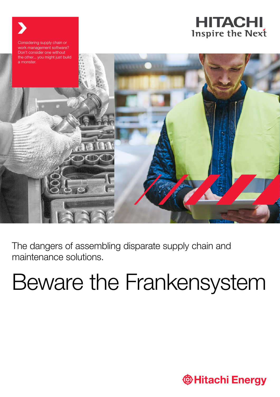

The dangers of assembling disparate supply chain and maintenance solutions.

# Beware the Frankensystem

**Whitachi Energy**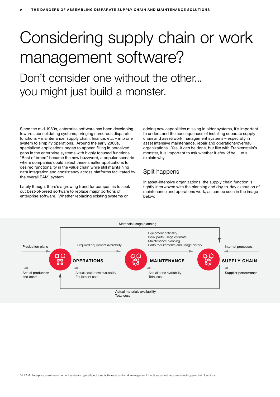# Considering supply chain or work management software?

Don't consider one without the other... you might just build a monster.

Since the mid-1980s, enterprise software has been developing towards consolidating systems, bringing numerous disparate functions – maintenance, supply chain, finance, etc. – into one system to simplify operations. Around the early 2000s, specialized applications began to appear, filling in perceived gaps in the enterprise systems with highly focused functions. "Best of breed" became the new buzzword, a popular scenario where companies could select these smaller applications for desired functionality in the value chain while still maintaining data integration and consistency across platforms facilitated by the overall EAM<sup>1</sup> system.

Lately though, there's a growing trend for companies to seek out best-of-breed software to replace major portions of enterprise software. Whether replacing existing systems or

adding new capabilities missing in older systems, it's important to understand the consequences of installing separate supply chain and asset/work management systems – especially in asset intensive maintenance, repair and operations/overhaul organizations. Yes, it can be done, but like with Frankenstein's monster, it is important to ask whether it should be. Let's explain why.

# Split happens

In asset-intensive organizations, the supply chain function is tightly interwoven with the planning and day-to-day execution of maintenance and operations work, as can be seen in the image below:

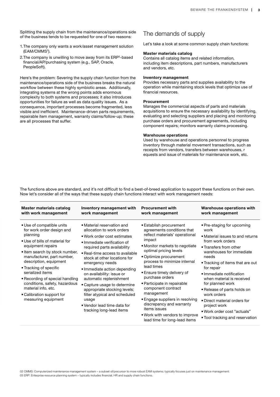Splitting the supply chain from the maintenance/operations side of the business tends to be requested for one of two reasons:

- 1.The company only wants a work/asset management solution (EAM/CMMS<sup>2</sup>).
- 2.The company is unwilling to move away from its ERP3-based financial/AP/purchasing system (e.g., SAP, Oracle, PeopleSoft).

Here's the problem: Severing the supply chain function from the maintenance/operations side of the business breaks the natural workflow between these highly symbiotic areas. Additionally, integrating systems at the wrong points adds enormous complexity to both systems and processes; it also introduces opportunities for failure as well as data quality issues. As a consequence, important processes become fragmented, less visible and inefficient. Maintenance-driven parts requirements, repairable item management, warranty claims/follow-up; these are all processes that suffer.

## The demands of supply

Let's take a look at some common supply chain functions:

#### Master materials catalog

Contains all catalog items and related information, including item descriptions, part numbers, manufacturers and vendors, etc.

#### Inventory management

Provides necessary parts and supplies availability to the operation while maintaining stock levels that optimize use of financial resources.

#### Procurement

Manages the commercial aspects of parts and materials acquisitions to ensure the necessary availability by identifying, evaluating and selecting suppliers and placing and monitoring purchase orders and procurement agreements, including component repairs; monitors warranty claims processing.

#### Warehouse operations

Used by warehouse and operations personnel to progress inventory through material movement transactions, such as receipts from vendors, transfers between warehouses, r equests and issue of materials for maintenance work, etc.

The functions above are standard, and it's not difficult to find a best-of-breed application to support these functions on their own. Now let's consider all of the ways that these supply chain functions interact with work management needs:

| Master materials catalog        | Inventory management with                                        | <b>Procurement with</b>                                                                                                                        | Warehouse operations with                                                                                      |
|---------------------------------|------------------------------------------------------------------|------------------------------------------------------------------------------------------------------------------------------------------------|----------------------------------------------------------------------------------------------------------------|
| with work management            | work management                                                  | work management                                                                                                                                | work management                                                                                                |
| • Use of compatible units       | • Material reservation and                                       | • Establish procurement                                                                                                                        | • Pre-staging for upcoming                                                                                     |
| for work order design and       | allocation to work orders                                        | agreements conditions that                                                                                                                     | work                                                                                                           |
| planning                        | • Work order cost estimates                                      | reflect materials' operational                                                                                                                 | • Material issues to and returns                                                                               |
| • Use of bills of material for  | · Immediate verification of                                      | impact                                                                                                                                         | from work orders                                                                                               |
| equipment repairs               | required parts availability                                      | • Monitor markets to negotiate                                                                                                                 | • Transfers from other                                                                                         |
| • Item search by stock number,  | • Real-time access to available                                  | optimal pricing levels                                                                                                                         | warehouses for immediate                                                                                       |
| manufacturer, part number,      | stock at other locations for                                     | • Optimize procurement                                                                                                                         | needs                                                                                                          |
| description, equipment          | emergency needs                                                  | process to minimize internal                                                                                                                   | • Tracking of items that are out                                                                               |
| • Tracking of specific          | · Immediate action depending                                     | lead times                                                                                                                                     | for repair                                                                                                     |
| serialized items                | on availability: issue or                                        | • Ensure timely delivery of                                                                                                                    | • Immediate notification                                                                                       |
| • Recording of special handling | automatic replenishment                                          | purchase orders                                                                                                                                | when material is received                                                                                      |
| conditions, safety, hazardous   | • Capture usage to determine                                     | • Participate in repairable                                                                                                                    | for planned work                                                                                               |
| material info, etc.             | appropriate stocking levels;                                     | component contract                                                                                                                             | • Release of parts holds on                                                                                    |
| • Calibration support for       | filter atypical and scheduled                                    | management                                                                                                                                     | work orders                                                                                                    |
| measuring equipment             | usage<br>• Vendor lead time data for<br>tracking long-lead items | • Engage suppliers in resolving<br>discrepancy and warranty<br>items issues<br>• Work with vendors to improve<br>lead time for long-lead items | • Direct material orders for<br>project work<br>• Work order cost "actuals"<br>• Tool tracking and reservation |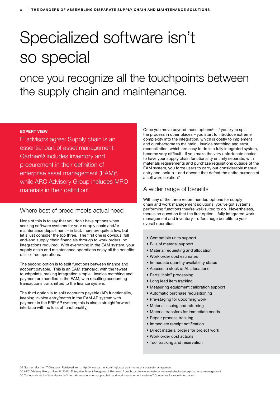# Specialized software isn't so special

once you recognize all the touchpoints between the supply chain and maintenance.

#### EXPERT VIEW

IT advisors agree: Supply chain is an essential part of asset management. Gartner® includes inventory and procurement in their definition of enterprise asset management (EAM)<sup>4</sup>, while ARC Advisory Group includes MRO materials in their definition<sup>5</sup>.

### Where best of breed meets actual need

None of this is to say that you don't have options when seeking software systems for your supply chain and/or maintenance department – in fact, there are quite a few, but let's just consider the top three. The first one is obvious: full end-end supply chain financials through to work orders, no integrations required. With everything in the EAM system, your supply chain and maintenance operations enjoy all the benefits of silo-free operations.

The second option is to split functions between finance and account payable. This is an EAM standard, with the fewest touchpoints, making integration simple. Invoice matching and payment are handled in the EAM, with resulting accounting transactions transmitted to the finance system.

The third option is to split accounts payable (AP) functionality, keeping invoice entry/match in the EAM AP system with payment in the ERP AP system; this is also a straightforward interface with no loss of functionality).

Once you move beyond those options $6 -$  if you try to split the process in other places – you start to introduce extreme complexity into the integration, which is costly to implement and cumbersome to maintain. Invoice matching and error reconciliation, which are easy to do in a fully integrated system, become very difficult. If you make the very unfortunate choice to have your supply chain functionality entirely separate, with materials requirements and purchase requisitions outside of the EAM system, you force users to carry out considerable manual entry and lookup – and doesn't that defeat the entire purpose of a software solution?

### A wider range of benefits

With any of the three recommended options for supply chain and work management solutions, you've got systems performing functions they're well-suited to do. Nevertheless, there's no question that the first option – fully integrated work management and inventory – offers huge benefits to your overall operation:

- Compatible units support
- Bills of material support
- Material requesting and allocation
- Work order cost estimates
- Immediate quantity availability status
- Access to stock at ALL locations
- Parts "hold" processing
- Long lead item tracking
- Measuring equipment calibration support
- Automatic purchase requisitioning
- Pre-staging for upcoming work
- Material issuing and returning
- Material transfers for immediate needs
- Repair process tracking
- Immediate receipt notification
- Direct material orders for project work
- Work order cost actuals
- Tool tracking and reservation

04 Gartner. Gartner IT Glossary. Retrieved from: http://www.gartner.com/it-glossary/eam-enterprise-asset-management.

05 ARC Advisory Group. (June 8, 2016). Enterprise Asset Management. Retrieved from: https://www.arcweb.com/market-studies/enterprise-asset-management. 06 Curious about the "less desirable" integration options for supply chain and work management systems? Contact us for more information!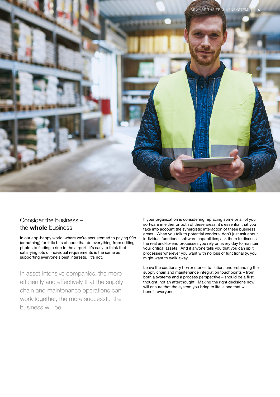

# Consider the business – the **whole** business

In our app-happy world, where we're accustomed to paying 99¢ (or nothing) for little bits of code that do everything from editing photos to finding a ride to the airport, it's easy to think that satisfying lots of individual requirements is the same as supporting everyone's best interests. It's not.

In asset-intensive companies, the more efficiently and effectively that the supply chain and maintenance operations can work together, the more successful the business will be.

If your organization is considering replacing some or all of your software in either or both of these areas, it's essential that you take into account the synergistic interaction of these business areas. When you talk to potential vendors, don't just ask about individual functional software capabilities; ask them to discuss the real end-to-end processes you rely on every day to maintain your critical assets. And if anyone tells you that you can split processes wherever you want with no loss of functionality, you might want to walk away.

Leave the cautionary horror stories to fiction; understanding the supply chain and maintenance integration touchpoints – from both a systems and a process perspective – should be a first thought, not an afterthought. Making the right decisions now will ensure that the system you bring to life is one that will benefit everyone.